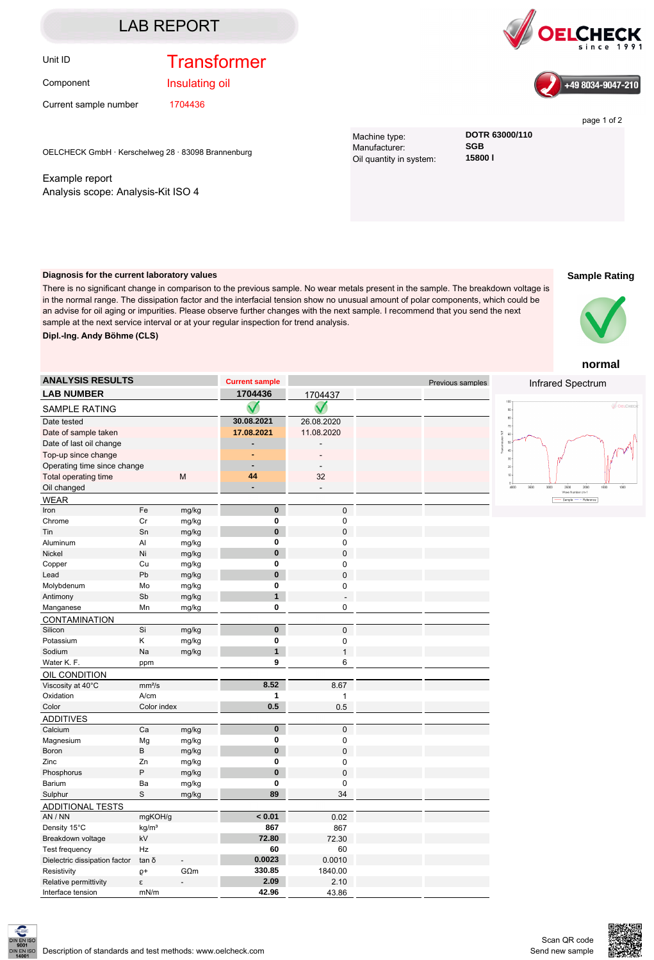#### LAB REPORT

### Unit ID **Transformer**

Component

Insulating oil

Current sample number 1704436

OELCHECK GmbH · Kerschelweg 28 · 83098 Brannenburg

Example report Analysis scope: Analysis-Kit ISO 4





page 1 of 2

Machine type: **DOTR 63000/110**<br>Manufacturer: **SGB** Manufacturer: **SGB**<br>Oil quantity in system: **15800 l** Oil quantity in system:

#### **Sample Rating**

**Diagnosis for the current laboratory values**

There is no significant change in comparison to the previous sample. No wear metals present in the sample. The breakdown voltage is in the normal range. The dissipation factor and the interfacial tension show no unusual amount of polar components, which could be an advise for oil aging or impurities. Please observe further changes with the next sample. I recommend that you send the next sample at the next service interval or at your regular inspection for trend analysis. **Dipl.-Ing. Andy Böhme (CLS)**



**normal**

| <b>ANALYSIS RESULTS</b>       |                    |                | <b>Current sample</b>   |                          | Previous samples | Infrared Spectrum                                                |
|-------------------------------|--------------------|----------------|-------------------------|--------------------------|------------------|------------------------------------------------------------------|
| <b>LAB NUMBER</b>             |                    |                | 1704436                 | 1704437                  |                  |                                                                  |
| SAMPLE RATING                 |                    |                |                         |                          |                  | 100<br>ೊ<br>$_{90\,+\,}$                                         |
| Date tested                   |                    |                | 30.08.2021              | 26.08.2020               |                  | $80\,$                                                           |
| Date of sample taken          |                    |                | 17.08.2021              | 11.08.2020               |                  | 70<br>$60\,$                                                     |
| Date of last oil change       |                    |                |                         |                          |                  | $60\,$                                                           |
| Top-up since change           |                    |                |                         |                          |                  | 40<br>š<br>30                                                    |
| Operating time since change   |                    | $\blacksquare$ |                         |                          | 20               |                                                                  |
| Total operating time          |                    | M              | 44                      | 32                       |                  | <sub>10</sub>                                                    |
| Oil changed                   |                    |                |                         | L.                       |                  | 4000<br>3500<br>3000<br>2000<br>2500<br>ishr<br>Wave Number cm-1 |
| <b>WEAR</b>                   |                    |                |                         |                          |                  | Sample - Reference                                               |
| Iron                          | Fe                 | mg/kg          | $\mathbf 0$             | $\mathbf 0$              |                  |                                                                  |
| Chrome                        | Cr                 | mg/kg          | $\pmb{0}$               | 0                        |                  |                                                                  |
| Tin                           | Sn                 | mg/kg          | $\bf{0}$                | $\mathbf 0$              |                  |                                                                  |
| Aluminum                      | $\mathsf{Al}$      | mg/kg          | $\bf{0}$                | 0                        |                  |                                                                  |
| Nickel                        | Ni                 | mg/kg          | $\bf{0}$                | $\mathbf 0$              |                  |                                                                  |
| Copper                        | Cu                 | mg/kg          | $\mathbf 0$             | 0                        |                  |                                                                  |
| Lead                          | Pb                 | mg/kg          | $\bf{0}$                | $\mathbf 0$              |                  |                                                                  |
| Molybdenum                    | Mo                 | mg/kg          | $\mathbf 0$             | $\mathbf 0$              |                  |                                                                  |
| Antimony                      | Sb                 | mg/kg          | $\mathbf{1}$            | $\overline{\phantom{a}}$ |                  |                                                                  |
| Manganese                     | Mn                 | mg/kg          | $\pmb{0}$               | $\mathbf 0$              |                  |                                                                  |
| CONTAMINATION                 |                    |                |                         |                          |                  |                                                                  |
| Silicon                       | Si                 | mg/kg          | $\mathbf{0}$            | 0                        |                  |                                                                  |
| Potassium                     | Κ                  | mg/kg          | $\bf{0}$                | 0                        |                  |                                                                  |
| Sodium                        | Na                 | mg/kg          | $\mathbf{1}$            | $\mathbf{1}$             |                  |                                                                  |
| Water K. F.                   | ppm                |                | 9                       | 6                        |                  |                                                                  |
| OIL CONDITION                 |                    |                |                         |                          |                  |                                                                  |
| Viscosity at 40°C             | mm <sup>2</sup> /s |                | 8.52                    | 8.67                     |                  |                                                                  |
| Oxidation                     | A/cm               |                | $\mathbf{1}$            | $\mathbf{1}$             |                  |                                                                  |
| Color                         | Color index        |                | 0.5                     | 0.5                      |                  |                                                                  |
| <b>ADDITIVES</b>              |                    |                |                         |                          |                  |                                                                  |
| Calcium                       | Ca                 | mg/kg          | $\overline{\mathbf{0}}$ | 0                        |                  |                                                                  |
| Magnesium                     | Mg                 | mg/kg          | $\bf{0}$                | 0                        |                  |                                                                  |
| Boron                         | B                  | mg/kg          | $\bf{0}$                | $\mathbf 0$              |                  |                                                                  |
| Zinc                          | Zn                 | mg/kg          | $\mathbf 0$             | $\mathbf 0$              |                  |                                                                  |
| Phosphorus                    | P                  | mg/kg          | $\bf{0}$                | $\mathbf 0$              |                  |                                                                  |
| Barium                        | Ba                 | mg/kg          | $\mathbf 0$             | $\mathbf 0$              |                  |                                                                  |
| Sulphur                       | $\mathbf S$        | mg/kg          | 89                      | 34                       |                  |                                                                  |
| <b>ADDITIONAL TESTS</b>       |                    |                |                         |                          |                  |                                                                  |
| AN / NN                       | mgKOH/g            |                | < 0.01                  | 0.02                     |                  |                                                                  |
| Density 15°C                  | kg/m <sup>3</sup>  |                | 867                     | 867                      |                  |                                                                  |
| Breakdown voltage             | kV                 |                | 72.80                   | 72.30                    |                  |                                                                  |
| Test frequency                | Hz                 |                | 60                      | 60                       |                  |                                                                  |
| Dielectric dissipation factor | tanδ               | $\overline{a}$ | 0.0023                  | 0.0010                   |                  |                                                                  |
| Resistivity                   | $Q+$               | $G\Omega$ m    | 330.85                  | 1840.00                  |                  |                                                                  |
| Relative permittivity         | ε                  | $\overline{a}$ | 2.09                    | 2.10                     |                  |                                                                  |
| Interface tension             | mN/m               |                | 42.96                   | 43.86                    |                  |                                                                  |